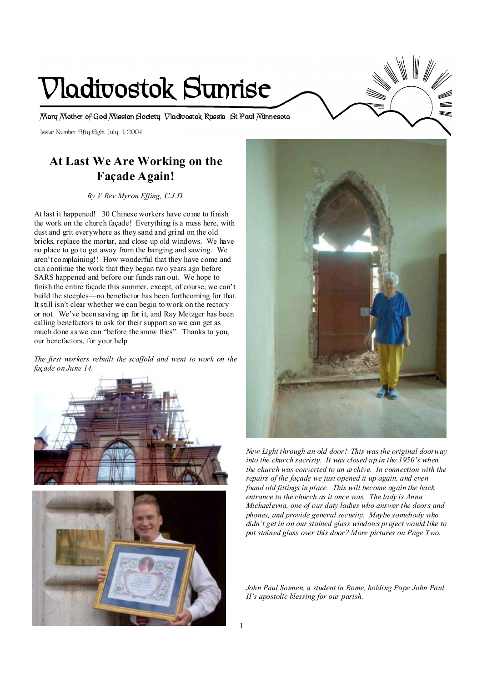# **Vladivostok Sunrise**

**Mary Mother of God Mission Society Vladivostok Russia St Paul Minnesota** 

Issue Number Fifty Eight July 1, 2004

# **At Last We Are Working on the Façade Again!**

*By V Rev Myron Effing, C.J.D.* 

At last it happened! 30 Chinese workers have come to finish the work on the church façade! Everything is a mess here, with dust and grit everywhere as they sand and grind on the old bricks, replace the mortar, and close up old windows. We have no place to go to get away from the banging and sawing. We aren't complaining!! How wonderful that they have come and can continue the work that they began two years ago before SARS happened and before our funds ran out. We hope to finish the entire façade this summer, except, of course, we can't build the steeples—no benefactor has been forthcoming for that. It still isn't clear whether we can begin to work on the rectory or not. We've been saving up for it, and Ray Metzger has been calling benefactors to ask for their support so we can get as much done as we can "before the snow flies". Thanks to you, our benefactors, for your help

*The first workers rebuilt the scaffold and went to work on the façade on June 14.* 





*New Light through an old door! This was the original doorway into the church sacristy. It was closed up in the 1950's when the church was converted to an archive. In connection with the repairs of the façade we just opened it up again, and even found old fittings in place. This will become again the back entrance to the church as it once was. The lady is Anna Michaelevna, one of our duty ladies who answer the doors and phones, and provide general security. Maybe somebody who didn't get in on our stained glass windows project would like to put stained glass over this door? More pictures on Page Two.* 

*John Paul Sonnen, a student in Rome, holding Pope John Paul II's apostolic blessing for our parish.*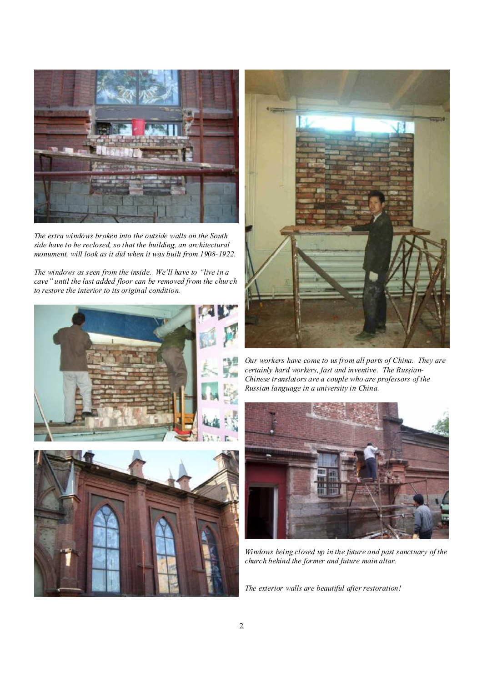

*The extra windows broken into the outside walls on the South side have to be reclosed, so that the building, an architectural monument, will look as it did when it was built from 1908-1922.* 

*The windows as seen from the inside. We'll have to "live in a cave" until the last added floor can be removed from the church to restore the interior to its original condition.* 







*Our workers have come to us from all parts of China. They are certainly hard workers, fast and inventive. The Russian-Chinese translators are a couple who are professors of the Russian language in a university in China.* 



*Windows being closed up in the future and past sanctuary of the church behind the former and future main altar.*

*The exterior walls are beautiful after restoration!*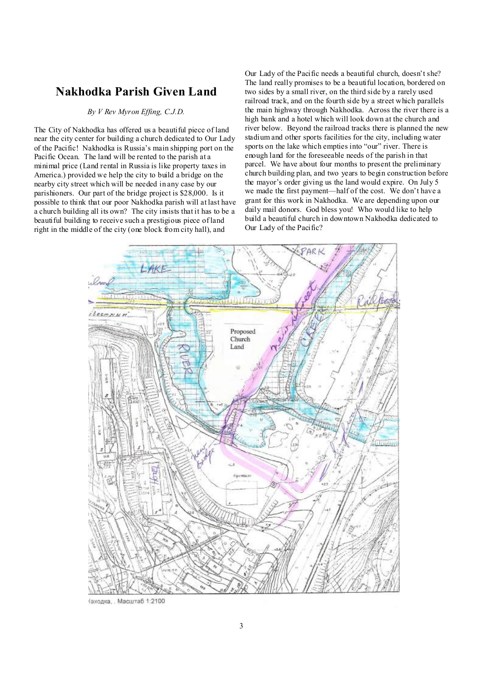## **Nakhodka Parish Given Land**

## *By V Rev Myron Effing, C.J.D.*

The City of Nakhodka has offered us a beautiful piece of land near the city center for building a church dedicated to Our Lady of the Pacific! Nakhodka is Russia's main shipping port on the Pacific Ocean. The land will be rented to the parish at a minimal price (Land rental in Russia is like property taxes in America.) provided we help the city to build a bridge on the nearby city street which will be needed in any case by our parishioners. Our part of the bridge project is \$28,000. Is it possible to think that our poor Nakhodka parish will at last have a church building all its own? The city insists that it has to be a beautiful building to receive such a prestigious piece of land right in the middle of the city (one block from city hall), and

Our Lady of the Pacific needs a beautiful church, doesn't she? The land really promises to be a beautiful location, bordered on two sides by a small river, on the third side by a rarely used railroad track, and on the fourth side by a street which parallels the main highway through Nakhodka. Across the river there is a high bank and a hotel which will look down at the church and river below. Beyond the railroad tracks there is planned the new stadium and other sports facilities for the city, including water sports on the lake which empties into "our" river. There is enough land for the foreseeable needs of the parish in that parcel. We have about four months to present the preliminary church building plan, and two years to begin construction before the mayor's order giving us the land would expire. On July 5 we made the first payment—half of the cost. We don't have a grant for this work in Nakhodka. We are depending upon our daily mail donors. God bless you! Who would like to help build a beautiful church in downtown Nakhodka dedicated to Our Lady of the Pacific?



1аходка, Масштаб 1:2100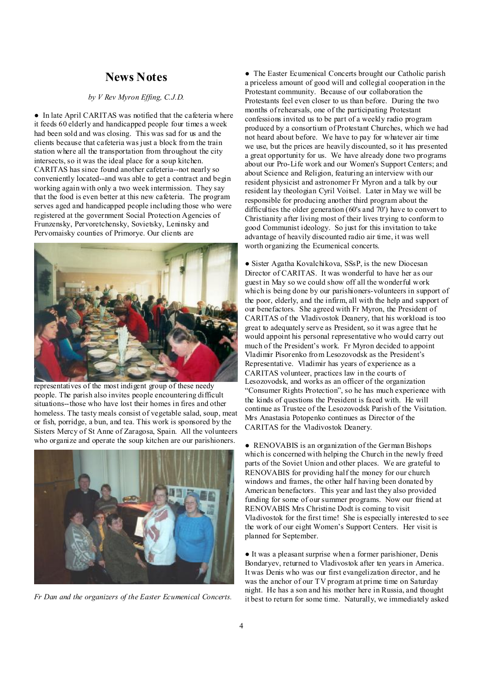## **News Notes**

#### *by V Rev Myron Effing, C.J.D.*

● In late April CARITAS was notified that the cafeteria where it feeds 60 elderly and handicapped people four times a week had been sold and was closing. This was sad for us and the clients because that cafeteria was just a block from the train station where all the transportation from throughout the city intersects, so it was the ideal place for a soup kitchen. CARITAS has since found another cafeteria--not nearly so conveniently located--and was able to get a contract and begin working again with only a two week intermission. They say that the food is even better at this new cafeteria. The program serves aged and handicapped people including those who were registered at the government Social Protection Agencies of Frunzensky, Pervoretchensky, Sovietsky, Leninsky and Pervomaisky counties of Primorye. Our clients are



representatives of the most indigent group of these needy people. The parish also invites people encountering difficult situations--those who have lost their homes in fires and other homeless. The tasty meals consist of vegetable salad, soup, meat or fish, porridge, a bun, and tea. This work is sponsored by the Sisters Mercy of St Anne of Zaragosa, Spain. All the volunteers who organize and operate the soup kitchen are our parishioners.



*Fr Dan and the organizers of the Easter Ecumenical Concerts.* 

● The Easter Ecumenical Concerts brought our Catholic parish a priceless amount of good will and collegial cooperation in the Protestant community. Because of our collaboration the Protestants feel even closer to us than before. During the two months of rehearsals, one of the participating Protestant confessions invited us to be part of a weekly radio program produced by a consortium of Protestant Churches, which we had not heard about before. We have to pay for whatever air time we use, but the prices are heavily discounted, so it has presented a great opportunity for us. We have already done two programs about our Pro-Life work and our Women's Support Centers; and about Science and Religion, featuring an interview with our resident physicist and astronomer Fr Myron and a talk by our resident lay theologian Cyril Voitsel. Later in May we will be responsible for producing another third program about the difficulties the older generation (60's and 70') have to convert to Christianity after living most of their lives trying to conform to good Communist ideology. So just for this invitation to take advantage of heavily discounted radio air time, it was well worth organizing the Ecumenical concerts.

● Sister Agatha Kovalchikova, SSsP, is the new Diocesan Director of CARITAS. It was wonderful to have her as our guest in May so we could show off all the wonderful work which is being done by our parishioners-volunteers in support of the poor, elderly, and the infirm, all with the help and support of our benefactors. She agreed with Fr Myron, the President of CARITAS of the Vladivostok Deanery, that his workload is too great to adequately serve as President, so it was agree that he would appoint his personal representative who would carry out much of the President's work. Fr Myron decided to appoint Vladimir Pisorenko from Lesozovodsk as the President's Representative. Vladimir has years of experience as a CARITAS volunteer, practices law in the courts of Lesozovodsk, and works as an officer of the organization "Consumer Rights Protection", so he has much experience with the kinds of questions the President is faced with. He will continue as Trustee of the Lesozovodsk Parish of the Visitation. Mrs Anastasia Potopenko continues as Director of the CARITAS for the Vladivostok Deanery.

• RENOVABIS is an organization of the German Bishops which is concerned with helping the Church in the newly freed parts of the Soviet Union and other places. We are grateful to RENOVABIS for providing half the money for our church windows and frames, the other half having been donated by American benefactors. This year and last they also provided funding for some of our summer programs. Now our friend at RENOVABIS Mrs Christine Dodt is coming to visit Vladivostok for the first time! She is especially interested to see the work of our eight Women's Support Centers. Her visit is planned for September.

● It was a pleasant surprise when a former parishioner, Denis Bondaryev, returned to Vladivostok after ten years in America. It was Denis who was our first evangelization director, and he was the anchor of our TV program at prime time on Saturday night. He has a son and his mother here in Russia, and thought it best to return for some time. Naturally, we immediately asked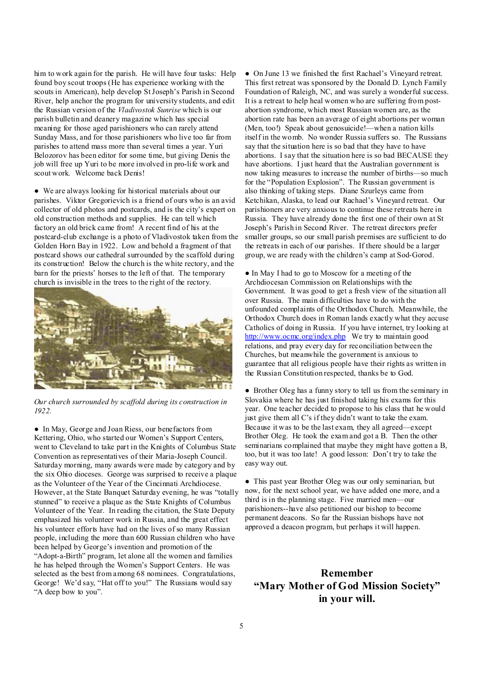him to work again for the parish. He will have four tasks: Help found boy scout troops (He has experience working with the scouts in American), help develop StJoseph's Parish in Second River, help anchor the program for university students, and edit the Russian version of the *Vladivostok Sunrise* which is our parish bulletin and deanery magazine which has special meaning for those aged parishioners who can rarely attend Sunday Mass, and for those parishioners who live too far from parishes to attend mass more than several times a year. Yuri Belozorov has been editor for some time, but giving Denis the job will free up Yuri to be more involved in pro-life work and scout work. Welcome back Denis!

● We are always looking for historical materials about our parishes. Viktor Gregorievich is a friend of ours who is an avid collector of old photos and postcards, and is the city's expert on old construction methods and supplies. He can tell which factory an old brick came from! A recent find of his at the postcard-club exchange is a photo of Vladivostok taken from the Golden Horn Bay in 1922. Low and behold a fragment of that postcard shows our cathedral surrounded by the scaffold during its construction! Below the church is the white rectory, and the barn for the priests' horses to the left of that. The temporary church is invisible in the trees to the right of the rectory.



*Our church surrounded by scaffold during its construction in 1922.* 

● In May, George and Joan Riess, our benefactors from Kettering, Ohio, who started our Women's Support Centers, went to Cleveland to take part in the Knights of Columbus State Convention as representatives of their Maria-Joseph Council. Saturday morning, many awards were made by category and by the six Ohio dioceses. George was surprised to receive a plaque as the Volunteer of the Year of the Cincinnati Archdiocese. However, at the State Banquet Saturday evening, he was "totally stunned" to receive a plaque as the State Knights of Columbus Volunteer of the Year. In reading the citation, the State Deputy emphasized his volunteer work in Russia, and the great effect his volunteer efforts have had on the lives of so many Russian people, including the more than 600 Russian children who have been helped by George's invention and promotion of the "Adopt-a-Birth" program, let alone all the women and families he has helped through the Women's Support Centers. He was selected as the best from among 68 nominees. Congratulations, George! We'd say, "Hat off to you!" The Russians would say "A deep bow to you".

● On June 13 we finished the first Rachael's Vineyard retreat. This first retreat was sponsored by the Donald D. Lynch Family Foundation of Raleigh, NC, and was surely a wonderful success. It is a retreat to help heal women who are suffering from postabortion syndrome, which most Russian women are, as the abortion rate has been an average of eight abortions per woman (Men, too!) Speak about genosuicide!—when a nation kills itself in the womb. No wonder Russia suffers so. The Russians say that the situation here is so bad that they have to have abortions. I say that the situation here is so bad BECAUSE they have abortions. I just heard that the Australian government is now taking measures to increase the number of births—so much for the "Population Explosion". The Russian government is also thinking of taking steps. Diane Szurleys came from Ketchikan, Alaska, to lead our Rachael's Vineyard retreat. Our parishioners are very anxious to continue these retreats here in Russia. They have already done the first one of their own at St Joseph's Parish in Second River. The retreat directors prefer smaller groups, so our small parish premises are sufficient to do the retreats in each of our parishes. If there should be a larger group, we are ready with the children's camp at Sod-Gorod.

● In May I had to go to Moscow for a meeting of the Archdiocesan Commission on Relationships with the Government. It was good to get a fresh view of the situation all over Russia. The main difficulties have to do with the unfounded complaints of the Orthodox Church. Meanwhile, the Orthodox Church does in Roman lands exactly what they accuse Catholics of doing in Russia. If you have internet, try looking at <http://www.ocmc.org/index.php> We try to maintain good relations, and pray every day for reconciliation between the Churches, but meanwhile the government is anxious to guarantee that all religious people have their rights as written in the Russian Constitution respected, thanks be to God.

● Brother Oleg has a funny story to tell us from the seminary in Slovakia where he has just finished taking his exams for this year. One teacher decided to propose to his class that he would just give them all C's if they didn't want to take the exam. Because it was to be the last exam, they all agreed—except Brother Oleg. He took the exam and got a B. Then the other seminarians complained that maybe they might have gotten a B, too, but it was too late! A good lesson: Don't try to take the easy way out.

● This past year Brother Oleg was our only seminarian, but now, for the next school year, we have added one more, and a third is in the planning stage. Five married men—our parishioners--have also petitioned our bishop to become permanent deacons. So far the Russian bishops have not approved a deacon program, but perhaps it will happen.

## **Remember "Mary Mother of God Mission Society" in your will.**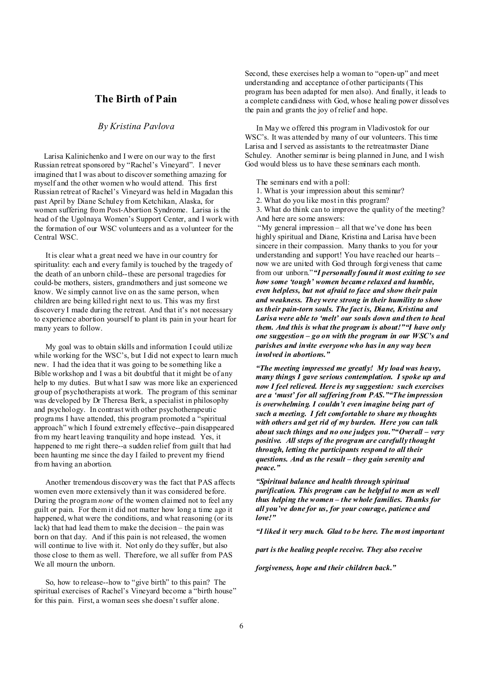## **The Birth of Pain**

#### *By Kristina Pavlova*

 Larisa Kalinichenko and I were on our way to the first Russian retreat sponsored by "Rachel's Vineyard". I never imagined that I was about to discover something amazing for myself and the other women who would attend. This first Russian retreat of Rachel's Vineyard was held in Magadan this past April by Diane Schuley from Ketchikan, Alaska, for women suffering from Post-Abortion Syndrome. Larisa is the head of the Ugolnaya Women's Support Center, and I work with the formation of our WSC volunteers and as a volunteer for the Central WSC.

It is clear what a great need we have in our country for spirituality: each and every family is touched by the tragedy of the death of an unborn child--these are personal tragedies for could-be mothers, sisters, grandmothers and just someone we know. We simply cannot live on as the same person, when children are being killed right next to us. This was my first discovery I made during the retreat. And that it's not necessary to experience abortion yourself to plant its pain in your heart for many years to follow.

My goal was to obtain skills and information I could utilize while working for the WSC's, but I did not expect to learn much new. I had the idea that it was going to be something like a Bible workshop and I was a bit doubtful that it might be of any help to my duties. But what I saw was more like an experienced group of psychotherapists at work. The program of this seminar was developed by Dr Theresa Berk, a specialist in philosophy and psychology. In contrast with other psychotherapeutic programs I have attended, this program promoted a "spiritual approach" which I found extremely effective--pain disappeared from my heart leaving tranquility and hope instead. Yes, it happened to me right there--a sudden relief from guilt that had been haunting me since the day I failed to prevent my friend from having an abortion.

Another tremendous discovery was the fact that PAS affects women even more extensively than it was considered before. During the program *none* of the women claimed not to feel any guilt or pain. For them it did not matter how long a time ago it happened, what were the conditions, and what reasoning (or its lack) that had lead them to make the decision – the pain was born on that day. And if this pain is not released, the women will continue to live with it. Not only do they suffer, but also those close to them as well. Therefore, we all suffer from PAS We all mourn the unborn.

So, how to release--how to "give birth" to this pain? The spiritual exercises of Rachel's Vineyard become a "birth house" for this pain. First, a woman sees she doesn't suffer alone.

Second, these exercises help a woman to "open-up" and meet understanding and acceptance of other participants (This program has been adapted for men also). And finally, it leads to a complete candidness with God, whose healing power dissolves the pain and grants the joy of relief and hope.

In May we offered this program in Vladivostok for our WSC's. It was attended by many of our volunteers. This time Larisa and I served as assistants to the retreatmaster Diane Schuley. Another seminar is being planned in June, and I wish God would bless us to have these seminars each month.

The seminars end with a poll:

1. What is your impression about this seminar?

2. What do you like most in this program?

3. What do think can to improve the quality of the meeting? And here are some answers:

"My general impression – all that we've done has been highly spiritual and Diane, Kristina and Larisa have been sincere in their compassion. Many thanks to you for your understanding and support! You have reached our hearts – now we are united with God through forgiveness that came from our unborn."*"I personally found it most exiting to see how some 'tough' women became relaxed and humble, even helpless, but not afraid to face and show their pain and weakness. Theywere strong in their humility to show us their pain-torn souls. The fact is, Diane, Kristina and Larisa were able to 'melt' our souls down and then to heal them. And this is what the program is about!""I have only one suggestion – go on with the program in our WSC's and parishes and invite everyone who has in any way been involved in abortions."* 

*"The meeting impressed me greatly! My load was heavy, many things I gave serious contemplation. I spoke up and now I feel relieved. Here is my suggestion: such exercises are a 'must' for all suffering from PAS.""The impression is overwhelming. I couldn't even imagine being part of such a meeting. I felt comfortable to share my thoughts with others and get rid of my burden. Here you can talk about such things and no one judges you.""Overall – very positive. All steps of the program are carefully thought through, letting the participants respond to all their questions. And as the result – they gain serenity and peace."* 

*"Spiritual balance and health through spiritual purification. This program can be helpful to men as well thus helping the women – the whole families. Thanks for all you've done for us, for your courage, patience and love!"* 

*"I liked it very much. Glad to be here. The most important* 

*part is the healing people receive. They also receive* 

*forgiveness, hope and their children back."*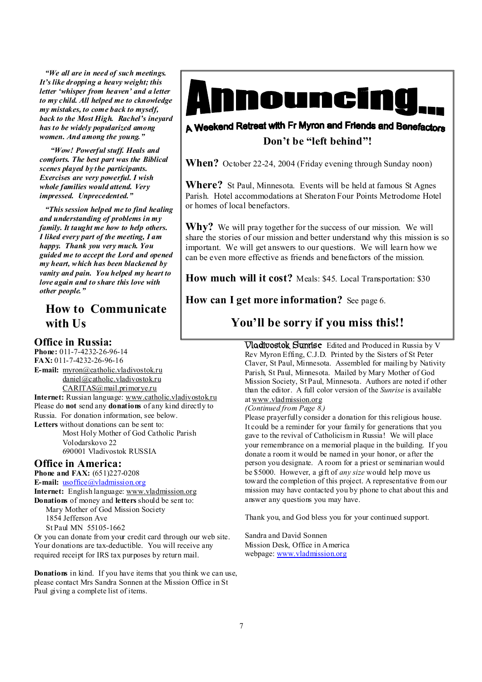*"We all are in need of such meetings. It's like dropping a heavy weight; this letter 'whisper from heaven' and a letter to my child. All helped me to cknowledge my mistakes, to come back to myself, back to the Most High. Rachel's ineyard has to be widely popularized among women. And among the young."* 

*"Wow! Powerful stuff. Heals and comforts. The best part was the Biblical scenes played by the participants. Exercises are very powerful. I wish whole families would attend. Very impressed. Unprecedented."* 

*"This session helped me to find healing and understanding of problems in my family. It taught me how to help others. I liked every part of the meeting, I am happy. Thank you very much. You guided me to accept the Lord and opened my heart, which has been blackened by vanity and pain. You helped my heart to love again and to share this love with other people."* 

# **How to Communicate with Us**

### **Office in Russia:**

**Phone:** 011-7-4232-26-96-14 **FAX:** 011-7-4232-26-96-16 **E-mail:** [myron@catholic.vladivostok.ru](mailto:myron@catholic.vladivostok.ru) [daniel@catholic.vladivostok.ru](mailto:daniel@catholic.vladivostok.ru) [CARITAS@mail.primorye.ru](mailto:CARITAS@mail.primorye.ru) **Internet:** Russian language: [www.catholic.vladivostok.ru](http://www.catholic.vladivostok.ru) Please do **not** send any **donations** of any kind directly to Russia. For donation information, see below. **Letters** without donations can be sent to: Most Holy Mother of God Catholic Parish Volodarskovo 22 690001 Vladivostok RUSSIA

## **Office in America:**

**Phone and FAX:** (651)227-0208 **E-mail:** [usoffice@vladmission.org](mailto:usoffice@vladmission.org) **Internet:** English language: [www.vladmission.org](http://www.vladmission.org) **Donations** of money and **letters** should be sent to: Mary Mother of God Mission Society 1854 Jefferson Ave St Paul MN 55105-1662

Or you can donate from your credit card through our web site. Your donations are tax-deductible. You will receive any required receipt for IRS tax purposes by return mail.

**Donations** in kind. If you have items that you think we can use, please contact Mrs Sandra Sonnen at the Mission Office in St Paul giving a complete list of items.



## A Weekend Retreat with Fr Myron and Friends and Benefactors **Don't be "left behind"!**

**When?** October 22-24, 2004 (Friday evening through Sunday noon)

**Where?** St Paul, Minnesota. Events will be held at famous St Agnes Parish. Hotel accommodations at Sheraton Four Points Metrodome Hotel or homes of local benefactors.

**Why?** We will pray together for the success of our mission. We will share the stories of our mission and better understand why this mission is so important. We will get answers to our questions. We will learn how we can be even more effective as friends and benefactors of the mission.

**How much will it cost?** Meals: \$45. Local Transportation: \$30

**How can I get more information?** See page 6.

# **You'll be sorry if you miss this!!**

**Vladivostok Sunrise** Edited and Produced in Russia by V Rev Myron Effing, C.J.D. Printed by the Sisters of St Peter Claver, St Paul, Minnesota. Assembled for mailing by Nativity Parish, St Paul, Minnesota. Mailed by Mary Mother of God Mission Society, St Paul, Minnesota. Authors are noted if other than the editor. A full color version of the *Sunrise* is available at [www.vladmission.org](http://www.vladmission.org)

#### *(Continued from Page 8.)*

Please prayerfully consider a donation for this religious house. It could be a reminder for your family for generations that you gave to the revival of Catholicism in Russia! We will place your remembrance on a memorial plaque in the building. If you donate a room it would be named in your honor, or after the person you designate. A room for a priest or seminarian would be \$5000. However, a gift of *any size* would help move us toward the completion of this project. A representative from our mission may have contacted you by phone to chat about this and answer any questions you may have.

Thank you, and God bless you for your continued support.

Sandra and David Sonnen Mission Desk, Office in America webpage: [www.vladmission.org](http://www.vladmission.org)